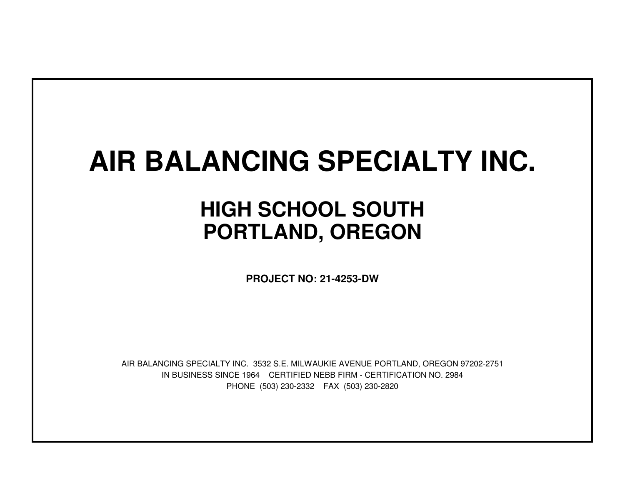## **AIR BALANCING SPECIALTY INC.**

## **HIGH SCHOOL SOUTHPORTLAND, OREGON**

**PROJECT NO: 21-4253-DW**

IN BUSINESS SINCE 1964 CERTIFIED NEBB FIRM - CERTIFICATION NO. 2984PHONE (503) 230-2332 FAX (503) 230-2820AIR BALANCING SPECIALTY INC. 3532 S.E. MILWAUKIE AVENUE PORTLAND, OREGON 97202-2751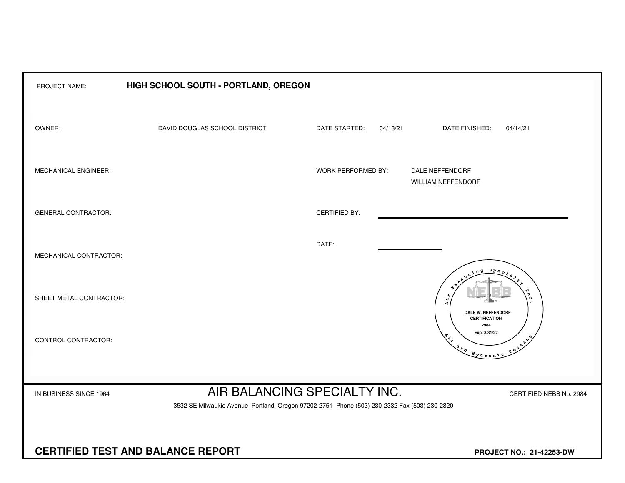| PROJECT NAME:                                                        | HIGH SCHOOL SOUTH - PORTLAND, OREGON                                                                                         |                      |          |                                                                               |                         |  |  |  |  |  |  |
|----------------------------------------------------------------------|------------------------------------------------------------------------------------------------------------------------------|----------------------|----------|-------------------------------------------------------------------------------|-------------------------|--|--|--|--|--|--|
| OWNER:                                                               | DAVID DOUGLAS SCHOOL DISTRICT                                                                                                | DATE STARTED:        | 04/13/21 | DATE FINISHED:                                                                | 04/14/21                |  |  |  |  |  |  |
| MECHANICAL ENGINEER:                                                 |                                                                                                                              | WORK PERFORMED BY:   |          | DALE NEFFENDORF<br>WILLIAM NEFFENDORF                                         |                         |  |  |  |  |  |  |
| <b>GENERAL CONTRACTOR:</b>                                           |                                                                                                                              | <b>CERTIFIED BY:</b> |          |                                                                               |                         |  |  |  |  |  |  |
| MECHANICAL CONTRACTOR:                                               |                                                                                                                              | DATE:                |          |                                                                               |                         |  |  |  |  |  |  |
| SHEET METAL CONTRACTOR:                                              |                                                                                                                              |                      |          | $S_{PQ}$<br>$\mathbf{A}$<br><b>DALE W. NEFFENDORF</b><br><b>CERTIFICATION</b> | $\alpha$                |  |  |  |  |  |  |
| CONTROL CONTRACTOR:                                                  |                                                                                                                              |                      |          | 2984<br>Exp. 3/31/22<br>and Hydronic                                          | <b>12.30</b>            |  |  |  |  |  |  |
|                                                                      |                                                                                                                              |                      |          |                                                                               |                         |  |  |  |  |  |  |
| IN BUSINESS SINCE 1964                                               | AIR BALANCING SPECIALTY INC.<br>3532 SE Milwaukie Avenue Portland, Oregon 97202-2751 Phone (503) 230-2332 Fax (503) 230-2820 |                      |          |                                                                               | CERTIFIED NEBB No. 2984 |  |  |  |  |  |  |
|                                                                      |                                                                                                                              |                      |          |                                                                               |                         |  |  |  |  |  |  |
| <b>CERTIFIED TEST AND BALANCE REPORT</b><br>PROJECT NO.: 21-42253-DW |                                                                                                                              |                      |          |                                                                               |                         |  |  |  |  |  |  |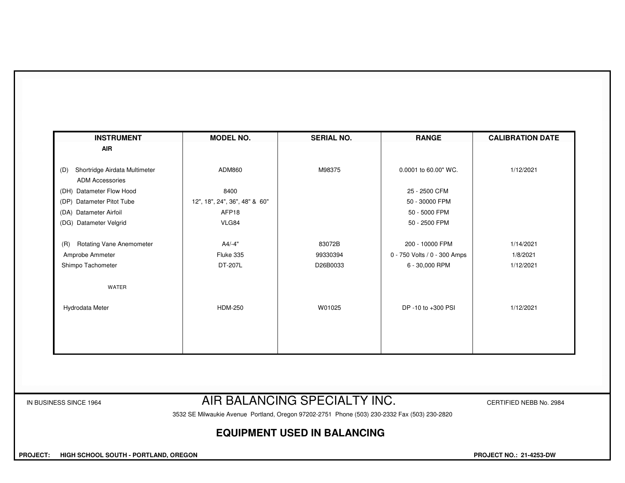| <b>INSTRUMENT</b>                                              | <b>MODEL NO.</b>              | <b>SERIAL NO.</b>            | <b>RANGE</b>                 | <b>CALIBRATION DATE</b> |
|----------------------------------------------------------------|-------------------------------|------------------------------|------------------------------|-------------------------|
| <b>AIR</b>                                                     |                               |                              |                              |                         |
| Shortridge Airdata Multimeter<br>(D)<br><b>ADM Accessories</b> | ADM860                        | M98375                       | 0.0001 to 60.00" WC.         | 1/12/2021               |
| (DH) Datameter Flow Hood                                       | 8400                          |                              | 25 - 2500 CFM                |                         |
| (DP) Datameter Pitot Tube                                      | 12", 18", 24", 36", 48" & 60" |                              | 50 - 30000 FPM               |                         |
| (DA) Datameter Airfoil                                         | AFP <sub>18</sub>             |                              | 50 - 5000 FPM                |                         |
| (DG) Datameter Velgrid                                         | VLG84                         |                              | 50 - 2500 FPM                |                         |
| <b>Rotating Vane Anemometer</b><br>(R)                         | $A4/-4"$                      | 83072B                       | 200 - 10000 FPM              | 1/14/2021               |
| Amprobe Ammeter                                                | Fluke 335                     | 99330394                     | 0 - 750 Volts / 0 - 300 Amps | 1/8/2021                |
| Shimpo Tachometer                                              | DT-207L                       | D26B0033                     | 6 - 30,000 RPM               | 1/12/2021               |
| <b>WATER</b>                                                   |                               |                              |                              |                         |
| Hydrodata Meter                                                | <b>HDM-250</b>                | W01025                       | DP -10 to +300 PSI           | 1/12/2021               |
|                                                                |                               |                              |                              |                         |
|                                                                |                               |                              |                              |                         |
|                                                                |                               |                              |                              |                         |
|                                                                |                               |                              |                              |                         |
| IN BUSINESS SINCE 1964                                         |                               | AIR BALANCING SPECIALTY INC. |                              | CERTIFIED NEBB No. 2984 |

3532 SE Milwaukie Avenue Portland, Oregon 97202-2751 Phone (503) 230-2332 Fax (503) 230-2820

## **EQUIPMENT USED IN BALANCING**

 **PROJECT: HIGH SCHOOL SOUTH - PORTLAND, OREGON PROJECT NO.: 21-4253-DW**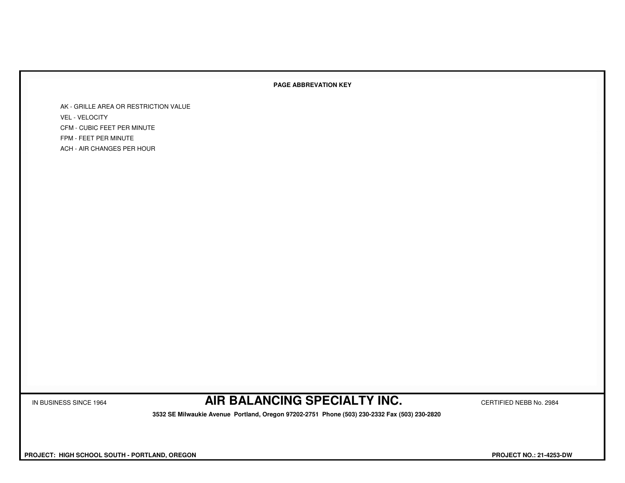## **PAGE ABBREVATION KEY**

AK - GRILLE AREA OR RESTRICTION VALUEVEL - VELOCITY CFM - CUBIC FEET PER MINUTEFPM - FEET PER MINUTEACH - AIR CHANGES PER HOUR

IN BUSINESS SINCE 1964 **AIR BALANCING SPECIALTY INC.** CERTIFIED NEBB No. 2984

 **3532 SE Milwaukie Avenue Portland, Oregon 97202-2751 Phone (503) 230-2332 Fax (503) 230-2820**

 **PROJECT: HIGH SCHOOL SOUTH - PORTLAND, OREGON PROJECT NO.: 21-4253-DW**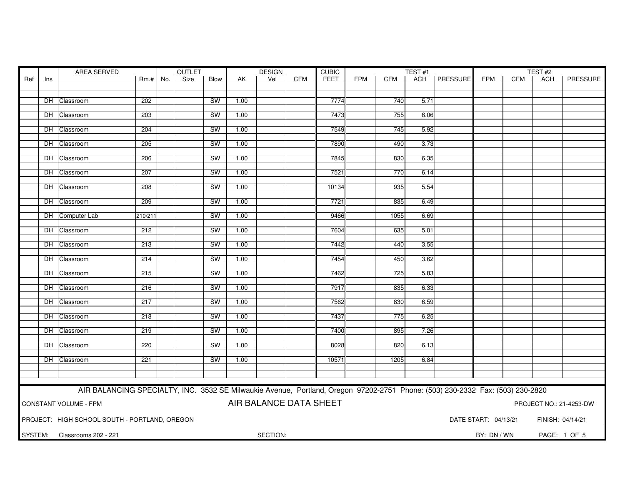|         | AREA SERVED                                                                               |                                                                                                                               |           | OUTLET |      |           | <b>DESIGN</b> |          |            | <b>CUBIC</b> | TEST#1     |            |      | TEST#2         |             |     |     |          |
|---------|-------------------------------------------------------------------------------------------|-------------------------------------------------------------------------------------------------------------------------------|-----------|--------|------|-----------|---------------|----------|------------|--------------|------------|------------|------|----------------|-------------|-----|-----|----------|
| Ref     | Ins                                                                                       |                                                                                                                               | $Rm.+No.$ |        | Size | Blow      | AK            | Vel      | <b>CFM</b> | <b>FEET</b>  | <b>FPM</b> | <b>CFM</b> |      | ACH   PRESSURE | <b>FPM</b>  | CFM | ACH | PRESSURE |
|         |                                                                                           |                                                                                                                               |           |        |      |           |               |          |            |              |            |            |      |                |             |     |     |          |
|         |                                                                                           |                                                                                                                               |           |        |      |           |               |          |            |              |            |            |      |                |             |     |     |          |
|         |                                                                                           | DH Classroom                                                                                                                  | 202       |        |      | <b>SW</b> | 1.00          |          |            | 7774         |            | 740        | 5.71 |                |             |     |     |          |
|         |                                                                                           | DH Classroom                                                                                                                  | 203       |        |      | SW        | 1.00          |          |            | 7473         |            | 755        | 6.06 |                |             |     |     |          |
|         |                                                                                           |                                                                                                                               |           |        |      |           |               |          |            |              |            |            |      |                |             |     |     |          |
|         |                                                                                           | DH Classroom                                                                                                                  | 204       |        |      | <b>SW</b> | 1.00          |          |            | 7549         |            | 745        | 5.92 |                |             |     |     |          |
|         |                                                                                           |                                                                                                                               |           |        |      |           |               |          |            |              |            |            |      |                |             |     |     |          |
|         |                                                                                           | DH Classroom                                                                                                                  | 205       |        |      | <b>SW</b> | 1.00          |          |            | 7890         |            | 490        | 3.73 |                |             |     |     |          |
|         |                                                                                           |                                                                                                                               |           |        |      |           |               |          |            |              |            |            |      |                |             |     |     |          |
|         |                                                                                           | DH Classroom                                                                                                                  | 206       |        |      | SW        | 1.00          |          |            | 7845         |            | 830        | 6.35 |                |             |     |     |          |
|         |                                                                                           |                                                                                                                               |           |        |      |           |               |          |            |              |            |            |      |                |             |     |     |          |
|         |                                                                                           | DH Classroom                                                                                                                  | 207       |        |      | <b>SW</b> | 1.00          |          |            | 7521         |            | 770        | 6.14 |                |             |     |     |          |
|         |                                                                                           | DH Classroom                                                                                                                  | 208       |        |      | <b>SW</b> | 1.00          |          |            | 10134        |            | 935        | 5.54 |                |             |     |     |          |
|         |                                                                                           |                                                                                                                               |           |        |      |           |               |          |            |              |            |            |      |                |             |     |     |          |
|         |                                                                                           | DH Classroom                                                                                                                  | 209       |        |      | <b>SW</b> | 1.00          |          |            | 7721         |            | 835        | 6.49 |                |             |     |     |          |
|         |                                                                                           |                                                                                                                               |           |        |      |           |               |          |            |              |            |            |      |                |             |     |     |          |
|         |                                                                                           | DH Computer Lab                                                                                                               | 210/211   |        |      | <b>SW</b> | 1.00          |          |            | 9466         |            | 1055       | 6.69 |                |             |     |     |          |
|         |                                                                                           |                                                                                                                               |           |        |      |           |               |          |            |              |            |            |      |                |             |     |     |          |
|         |                                                                                           | DH Classroom                                                                                                                  | 212       |        |      | SW        | 1.00          |          |            | 7604         |            | 635        | 5.01 |                |             |     |     |          |
|         |                                                                                           |                                                                                                                               |           |        |      |           |               |          |            |              |            |            |      |                |             |     |     |          |
|         |                                                                                           | DH Classroom                                                                                                                  | 213       |        |      | <b>SW</b> | 1.00          |          |            | 7442         |            | 440        | 3.55 |                |             |     |     |          |
|         |                                                                                           | DH Classroom                                                                                                                  | 214       |        |      | <b>SW</b> | 1.00          |          |            | 7454         |            | 450        | 3.62 |                |             |     |     |          |
|         |                                                                                           |                                                                                                                               |           |        |      |           |               |          |            |              |            |            |      |                |             |     |     |          |
|         |                                                                                           | DH Classroom                                                                                                                  | 215       |        |      | <b>SW</b> | 1.00          |          |            | 7462         |            | 725        | 5.83 |                |             |     |     |          |
|         |                                                                                           |                                                                                                                               |           |        |      |           |               |          |            |              |            |            |      |                |             |     |     |          |
|         |                                                                                           | DH Classroom                                                                                                                  | 216       |        |      | <b>SW</b> | 1.00          |          |            | 7917         |            | 835        | 6.33 |                |             |     |     |          |
|         |                                                                                           |                                                                                                                               |           |        |      |           |               |          |            |              |            |            |      |                |             |     |     |          |
|         |                                                                                           | DH Classroom                                                                                                                  | 217       |        |      | SW        | 1.00          |          |            | 7562         |            | 830        | 6.59 |                |             |     |     |          |
|         |                                                                                           |                                                                                                                               |           |        |      |           |               |          |            |              |            |            |      |                |             |     |     |          |
|         |                                                                                           | DH Classroom                                                                                                                  | 218       |        |      | SW        | 1.00          |          |            | 7437         |            | 775        | 6.25 |                |             |     |     |          |
|         |                                                                                           |                                                                                                                               |           |        |      | <b>SW</b> |               |          |            | 7400         |            | 895        |      |                |             |     |     |          |
|         |                                                                                           | DH Classroom                                                                                                                  | 219       |        |      |           | 1.00          |          |            |              |            |            | 7.26 |                |             |     |     |          |
|         |                                                                                           | DH Classroom                                                                                                                  | 220       |        |      | <b>SW</b> | 1.00          |          |            | 8028         |            | 820        | 6.13 |                |             |     |     |          |
|         |                                                                                           |                                                                                                                               |           |        |      |           |               |          |            |              |            |            |      |                |             |     |     |          |
|         |                                                                                           | DH Classroom                                                                                                                  | 221       |        |      | <b>SW</b> | 1.00          |          |            | 10571        |            | 1205       | 6.84 |                |             |     |     |          |
|         |                                                                                           |                                                                                                                               |           |        |      |           |               |          |            |              |            |            |      |                |             |     |     |          |
|         |                                                                                           |                                                                                                                               |           |        |      |           |               |          |            |              |            |            |      |                |             |     |     |          |
|         |                                                                                           |                                                                                                                               |           |        |      |           |               |          |            |              |            |            |      |                |             |     |     |          |
|         |                                                                                           | AIR BALANCING SPECIALTY, INC. 3532 SE Milwaukie Avenue, Portland, Oregon 97202-2751 Phone: (503) 230-2332 Fax: (503) 230-2820 |           |        |      |           |               |          |            |              |            |            |      |                |             |     |     |          |
|         |                                                                                           |                                                                                                                               |           |        |      |           |               |          |            |              |            |            |      |                |             |     |     |          |
|         | AIR BALANCE DATA SHEET<br><b>CONSTANT VOLUME - FPM</b><br>PROJECT NO.: 21-4253-DW         |                                                                                                                               |           |        |      |           |               |          |            |              |            |            |      |                |             |     |     |          |
|         |                                                                                           |                                                                                                                               |           |        |      |           |               |          |            |              |            |            |      |                |             |     |     |          |
|         | PROJECT: HIGH SCHOOL SOUTH - PORTLAND, OREGON<br>DATE START: 04/13/21<br>FINISH: 04/14/21 |                                                                                                                               |           |        |      |           |               |          |            |              |            |            |      |                |             |     |     |          |
|         | PAGE: 1 OF 5                                                                              |                                                                                                                               |           |        |      |           |               |          |            |              |            |            |      |                |             |     |     |          |
| SYSTEM: |                                                                                           | Classrooms 202 - 221                                                                                                          |           |        |      |           |               | SECTION: |            |              |            |            |      |                | BY: DN / WN |     |     |          |
|         |                                                                                           |                                                                                                                               |           |        |      |           |               |          |            |              |            |            |      |                |             |     |     |          |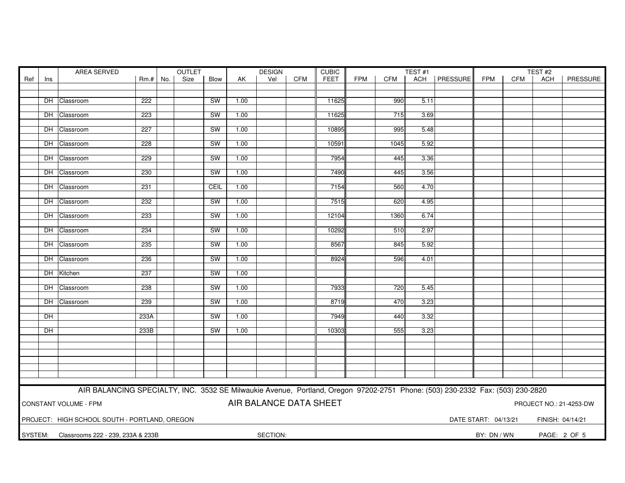|         | AREA SERVED |                                                                                                                               |           | OUTLET |      |           | <b>DESIGN</b> |                        |            | <b>CUBIC</b> | TEST#1 |            |      | TEST#2         |                      |     |                  |                         |
|---------|-------------|-------------------------------------------------------------------------------------------------------------------------------|-----------|--------|------|-----------|---------------|------------------------|------------|--------------|--------|------------|------|----------------|----------------------|-----|------------------|-------------------------|
| Ref     | Ins         |                                                                                                                               | $Rm.+No.$ |        | Size | Blow      | AK            | Vel                    | <b>CFM</b> | <b>FEET</b>  | FPM    | <b>CFM</b> |      | ACH   PRESSURE | <b>FPM</b>           | CFM | ACH              | PRESSURE                |
|         |             |                                                                                                                               |           |        |      |           |               |                        |            |              |        |            |      |                |                      |     |                  |                         |
|         |             |                                                                                                                               |           |        |      |           |               |                        |            |              |        |            |      |                |                      |     |                  |                         |
|         |             | DH Classroom                                                                                                                  | 222       |        |      | <b>SW</b> | 1.00          |                        |            | 11625        |        | 990        | 5.11 |                |                      |     |                  |                         |
|         |             |                                                                                                                               | 223       |        |      | <b>SW</b> | 1.00          |                        |            | 11625        |        | 715        | 3.69 |                |                      |     |                  |                         |
|         |             | DH Classroom                                                                                                                  |           |        |      |           |               |                        |            |              |        |            |      |                |                      |     |                  |                         |
|         |             | DH Classroom                                                                                                                  | 227       |        |      | <b>SW</b> | 1.00          |                        |            | 10895        |        | 995        | 5.48 |                |                      |     |                  |                         |
|         |             |                                                                                                                               |           |        |      |           |               |                        |            |              |        |            |      |                |                      |     |                  |                         |
|         |             | DH Classroom                                                                                                                  | 228       |        |      | <b>SW</b> | 1.00          |                        |            | 10591        |        | 1045       | 5.92 |                |                      |     |                  |                         |
|         |             |                                                                                                                               |           |        |      |           |               |                        |            |              |        |            |      |                |                      |     |                  |                         |
|         |             | DH Classroom                                                                                                                  | 229       |        |      | <b>SW</b> | 1.00          |                        |            | 7954         |        | 445        | 3.36 |                |                      |     |                  |                         |
|         |             |                                                                                                                               |           |        |      |           |               |                        |            |              |        |            |      |                |                      |     |                  |                         |
|         |             | DH Classroom                                                                                                                  | 230       |        |      | <b>SW</b> | 1.00          |                        |            | 7490         |        | 445        | 3.56 |                |                      |     |                  |                         |
|         |             |                                                                                                                               |           |        |      |           |               |                        |            |              |        |            |      |                |                      |     |                  |                         |
|         |             | DH Classroom                                                                                                                  | 231       |        |      | CEIL      | 1.00          |                        |            | 7154         |        | 560        | 4.70 |                |                      |     |                  |                         |
|         |             | DH Classroom                                                                                                                  | 232       |        |      | <b>SW</b> | 1.00          |                        |            | 7515         |        | 620        | 4.95 |                |                      |     |                  |                         |
|         |             |                                                                                                                               |           |        |      |           |               |                        |            |              |        |            |      |                |                      |     |                  |                         |
|         |             | DH Classroom                                                                                                                  | 233       |        |      | SW        | 1.00          |                        |            | 12104        |        | 1360       | 6.74 |                |                      |     |                  |                         |
|         |             |                                                                                                                               |           |        |      |           |               |                        |            |              |        |            |      |                |                      |     |                  |                         |
|         |             | DH Classroom                                                                                                                  | 234       |        |      | SW        | 1.00          |                        |            | 10292        |        | 510        | 2.97 |                |                      |     |                  |                         |
|         |             |                                                                                                                               |           |        |      |           |               |                        |            |              |        |            |      |                |                      |     |                  |                         |
|         |             | DH Classroom                                                                                                                  | 235       |        |      | <b>SW</b> | 1.00          |                        |            | 8567         |        | 845        | 5.92 |                |                      |     |                  |                         |
|         |             |                                                                                                                               |           |        |      |           |               |                        |            |              |        |            |      |                |                      |     |                  |                         |
|         |             | DH Classroom                                                                                                                  | 236       |        |      | <b>SW</b> | 1.00          |                        |            | 8924         |        | 596        | 4.01 |                |                      |     |                  |                         |
|         |             |                                                                                                                               |           |        |      |           |               |                        |            |              |        |            |      |                |                      |     |                  |                         |
|         |             | DH Kitchen                                                                                                                    | 237       |        |      | SW        | 1.00          |                        |            |              |        |            |      |                |                      |     |                  |                         |
|         |             |                                                                                                                               | 238       |        |      | <b>SW</b> | 1.00          |                        |            | 7933         |        | 720        | 5.45 |                |                      |     |                  |                         |
|         |             | DH Classroom                                                                                                                  |           |        |      |           |               |                        |            |              |        |            |      |                |                      |     |                  |                         |
|         |             | DH Classroom                                                                                                                  | 239       |        |      | <b>SW</b> | 1.00          |                        |            | 8719         |        | 470        | 3.23 |                |                      |     |                  |                         |
|         |             |                                                                                                                               |           |        |      |           |               |                        |            |              |        |            |      |                |                      |     |                  |                         |
|         | DH          |                                                                                                                               | 233A      |        |      | SW        | 1.00          |                        |            | 7949         |        | 440        | 3.32 |                |                      |     |                  |                         |
|         |             |                                                                                                                               |           |        |      |           |               |                        |            |              |        |            |      |                |                      |     |                  |                         |
|         | DH          |                                                                                                                               | 233B      |        |      | <b>SW</b> | 1.00          |                        |            | 10303        |        | 555        | 3.23 |                |                      |     |                  |                         |
|         |             |                                                                                                                               |           |        |      |           |               |                        |            |              |        |            |      |                |                      |     |                  |                         |
|         |             |                                                                                                                               |           |        |      |           |               |                        |            |              |        |            |      |                |                      |     |                  |                         |
|         |             |                                                                                                                               |           |        |      |           |               |                        |            |              |        |            |      |                |                      |     |                  |                         |
|         |             |                                                                                                                               |           |        |      |           |               |                        |            |              |        |            |      |                |                      |     |                  |                         |
|         |             |                                                                                                                               |           |        |      |           |               |                        |            |              |        |            |      |                |                      |     |                  |                         |
|         |             |                                                                                                                               |           |        |      |           |               |                        |            |              |        |            |      |                |                      |     |                  |                         |
|         |             | AIR BALANCING SPECIALTY, INC. 3532 SE Milwaukie Avenue, Portland, Oregon 97202-2751 Phone: (503) 230-2332 Fax: (503) 230-2820 |           |        |      |           |               |                        |            |              |        |            |      |                |                      |     |                  |                         |
|         |             |                                                                                                                               |           |        |      |           |               |                        |            |              |        |            |      |                |                      |     |                  |                         |
|         |             | <b>CONSTANT VOLUME - FPM</b>                                                                                                  |           |        |      |           |               | AIR BALANCE DATA SHEET |            |              |        |            |      |                |                      |     |                  | PROJECT NO.: 21-4253-DW |
|         |             |                                                                                                                               |           |        |      |           |               |                        |            |              |        |            |      |                |                      |     |                  |                         |
|         |             | PROJECT: HIGH SCHOOL SOUTH - PORTLAND, OREGON                                                                                 |           |        |      |           |               |                        |            |              |        |            |      |                | DATE START: 04/13/21 |     | FINISH: 04/14/21 |                         |
|         |             |                                                                                                                               |           |        |      |           |               |                        |            |              |        |            |      |                |                      |     |                  |                         |
| SYSTEM: |             | Classrooms 222 - 239, 233A & 233B                                                                                             |           |        |      |           |               | SECTION:               |            |              |        |            |      |                | BY: DN / WN          |     |                  | PAGE: 2 OF 5            |
|         |             |                                                                                                                               |           |        |      |           |               |                        |            |              |        |            |      |                |                      |     |                  |                         |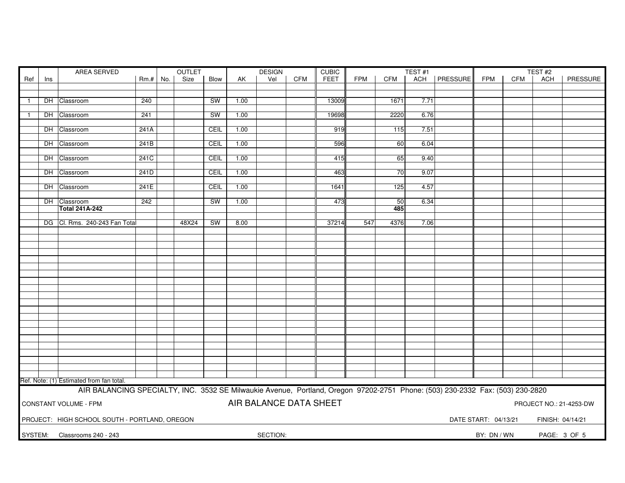|                | AREA SERVED                                                                               |                                                                                                                               |            |  | <b>OUTLET</b> |             |      |                        | <b>DESIGN</b> |             |            | <b>CUBIC</b><br>TEST#1 |      |                 |             |     | TEST#2       |                         |
|----------------|-------------------------------------------------------------------------------------------|-------------------------------------------------------------------------------------------------------------------------------|------------|--|---------------|-------------|------|------------------------|---------------|-------------|------------|------------------------|------|-----------------|-------------|-----|--------------|-------------------------|
| Ref            | Ins                                                                                       |                                                                                                                               | $Rm.+$ No. |  | Size          | Blow        | AK   | Vel                    | <b>CFM</b>    | <b>FEET</b> | <b>FPM</b> | <b>CFM</b>             | ACH  | <b>PRESSURE</b> | <b>FPM</b>  | CFM | <b>ACH</b>   | PRESSURE                |
|                |                                                                                           |                                                                                                                               |            |  |               |             |      |                        |               |             |            |                        |      |                 |             |     |              |                         |
|                |                                                                                           |                                                                                                                               | 240        |  |               | <b>SW</b>   | 1.00 |                        |               | 13009       |            | 1671                   | 7.71 |                 |             |     |              |                         |
| $\overline{1}$ |                                                                                           | DH Classroom                                                                                                                  |            |  |               |             |      |                        |               |             |            |                        |      |                 |             |     |              |                         |
| $\overline{1}$ |                                                                                           | DH Classroom                                                                                                                  | 241        |  |               | <b>SW</b>   | 1.00 |                        |               | 19698       |            | 2220                   | 6.76 |                 |             |     |              |                         |
|                |                                                                                           |                                                                                                                               |            |  |               |             |      |                        |               |             |            |                        |      |                 |             |     |              |                         |
|                |                                                                                           | DH Classroom                                                                                                                  | 241A       |  |               | CEIL        | 1.00 |                        |               | 919         |            | 115                    | 7.51 |                 |             |     |              |                         |
|                |                                                                                           |                                                                                                                               |            |  |               |             |      |                        |               |             |            |                        |      |                 |             |     |              |                         |
|                |                                                                                           | DH Classroom                                                                                                                  | 241B       |  |               | <b>CEIL</b> | 1.00 |                        |               | 596         |            | 60                     | 6.04 |                 |             |     |              |                         |
|                |                                                                                           |                                                                                                                               |            |  |               |             |      |                        |               |             |            |                        |      |                 |             |     |              |                         |
|                |                                                                                           | DH Classroom                                                                                                                  | 241C       |  |               | <b>CEIL</b> | 1.00 |                        |               | 415         |            | 65                     | 9.40 |                 |             |     |              |                         |
|                |                                                                                           | DH Classroom                                                                                                                  | 241D       |  |               | CEIL        | 1.00 |                        |               | 463         |            | 70                     | 9.07 |                 |             |     |              |                         |
|                |                                                                                           |                                                                                                                               |            |  |               |             |      |                        |               |             |            |                        |      |                 |             |     |              |                         |
|                |                                                                                           | DH Classroom                                                                                                                  | 241E       |  |               | CEIL        | 1.00 |                        |               | 1641        |            | 125                    | 4.57 |                 |             |     |              |                         |
|                |                                                                                           |                                                                                                                               |            |  |               |             |      |                        |               |             |            |                        |      |                 |             |     |              |                         |
|                |                                                                                           | DH Classroom                                                                                                                  | 242        |  |               | <b>SW</b>   | 1.00 |                        |               | 473         |            | 50                     | 6.34 |                 |             |     |              |                         |
|                |                                                                                           | <b>Total 241A-242</b>                                                                                                         |            |  |               |             |      |                        |               |             |            | 485                    |      |                 |             |     |              |                         |
|                |                                                                                           | DG Cl. Rms. 240-243 Fan Total                                                                                                 |            |  | 48X24         | <b>SW</b>   | 8.00 |                        |               | 37214       | 547        | 4376                   | 7.06 |                 |             |     |              |                         |
|                |                                                                                           |                                                                                                                               |            |  |               |             |      |                        |               |             |            |                        |      |                 |             |     |              |                         |
|                |                                                                                           |                                                                                                                               |            |  |               |             |      |                        |               |             |            |                        |      |                 |             |     |              |                         |
|                |                                                                                           |                                                                                                                               |            |  |               |             |      |                        |               |             |            |                        |      |                 |             |     |              |                         |
|                |                                                                                           |                                                                                                                               |            |  |               |             |      |                        |               |             |            |                        |      |                 |             |     |              |                         |
|                |                                                                                           |                                                                                                                               |            |  |               |             |      |                        |               |             |            |                        |      |                 |             |     |              |                         |
|                |                                                                                           |                                                                                                                               |            |  |               |             |      |                        |               |             |            |                        |      |                 |             |     |              |                         |
|                |                                                                                           |                                                                                                                               |            |  |               |             |      |                        |               |             |            |                        |      |                 |             |     |              |                         |
|                |                                                                                           |                                                                                                                               |            |  |               |             |      |                        |               |             |            |                        |      |                 |             |     |              |                         |
|                |                                                                                           |                                                                                                                               |            |  |               |             |      |                        |               |             |            |                        |      |                 |             |     |              |                         |
|                |                                                                                           |                                                                                                                               |            |  |               |             |      |                        |               |             |            |                        |      |                 |             |     |              |                         |
|                |                                                                                           |                                                                                                                               |            |  |               |             |      |                        |               |             |            |                        |      |                 |             |     |              |                         |
|                |                                                                                           |                                                                                                                               |            |  |               |             |      |                        |               |             |            |                        |      |                 |             |     |              |                         |
|                |                                                                                           |                                                                                                                               |            |  |               |             |      |                        |               |             |            |                        |      |                 |             |     |              |                         |
|                |                                                                                           |                                                                                                                               |            |  |               |             |      |                        |               |             |            |                        |      |                 |             |     |              |                         |
|                |                                                                                           |                                                                                                                               |            |  |               |             |      |                        |               |             |            |                        |      |                 |             |     |              |                         |
|                |                                                                                           |                                                                                                                               |            |  |               |             |      |                        |               |             |            |                        |      |                 |             |     |              |                         |
|                |                                                                                           |                                                                                                                               |            |  |               |             |      |                        |               |             |            |                        |      |                 |             |     |              |                         |
|                |                                                                                           |                                                                                                                               |            |  |               |             |      |                        |               |             |            |                        |      |                 |             |     |              |                         |
|                |                                                                                           |                                                                                                                               |            |  |               |             |      |                        |               |             |            |                        |      |                 |             |     |              |                         |
|                |                                                                                           | Ref. Note: (1) Estimated from fan total.                                                                                      |            |  |               |             |      |                        |               |             |            |                        |      |                 |             |     |              |                         |
|                |                                                                                           | AIR BALANCING SPECIALTY, INC. 3532 SE Milwaukie Avenue, Portland, Oregon 97202-2751 Phone: (503) 230-2332 Fax: (503) 230-2820 |            |  |               |             |      |                        |               |             |            |                        |      |                 |             |     |              |                         |
|                |                                                                                           |                                                                                                                               |            |  |               |             |      |                        |               |             |            |                        |      |                 |             |     |              |                         |
|                |                                                                                           | CONSTANT VOLUME - FPM                                                                                                         |            |  |               |             |      | AIR BALANCE DATA SHEET |               |             |            |                        |      |                 |             |     |              | PROJECT NO.: 21-4253-DW |
|                |                                                                                           |                                                                                                                               |            |  |               |             |      |                        |               |             |            |                        |      |                 |             |     |              |                         |
|                | PROJECT: HIGH SCHOOL SOUTH - PORTLAND, OREGON<br>DATE START: 04/13/21<br>FINISH: 04/14/21 |                                                                                                                               |            |  |               |             |      |                        |               |             |            |                        |      |                 |             |     |              |                         |
|                |                                                                                           |                                                                                                                               |            |  |               |             |      |                        |               |             |            |                        |      |                 |             |     |              |                         |
|                |                                                                                           | SYSTEM: Classrooms 240 - 243                                                                                                  |            |  |               |             |      | SECTION:               |               |             |            |                        |      |                 | BY: DN / WN |     | PAGE: 3 OF 5 |                         |
|                |                                                                                           |                                                                                                                               |            |  |               |             |      |                        |               |             |            |                        |      |                 |             |     |              |                         |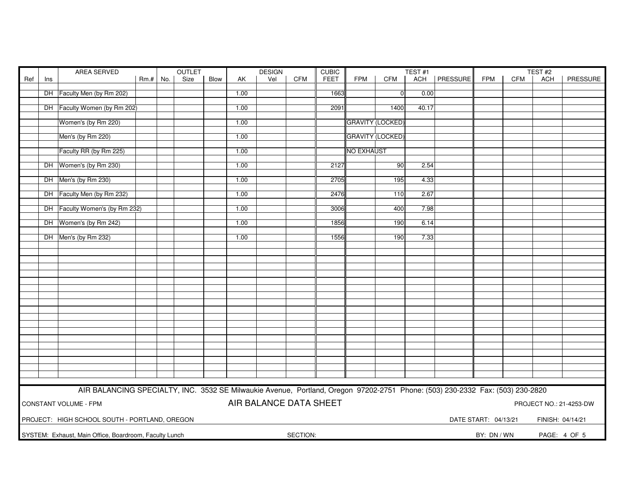|     | AREA SERVED |                                                                                                                               |        | OUTLET |      |             | <b>DESIGN</b> |                        |            | <b>CUBIC</b> |                   |                         | TEST#1 | TEST#2          |                      |            |                  |                         |
|-----|-------------|-------------------------------------------------------------------------------------------------------------------------------|--------|--------|------|-------------|---------------|------------------------|------------|--------------|-------------------|-------------------------|--------|-----------------|----------------------|------------|------------------|-------------------------|
| Ref | Ins         |                                                                                                                               | $Rm.+$ | No.    | Size | <b>Blow</b> | AK.           | Vel                    | <b>CFM</b> | <b>FEET</b>  | <b>FPM</b>        | <b>CFM</b>              | ACH    | <b>PRESSURE</b> | <b>FPM</b>           | <b>CFM</b> | <b>ACH</b>       | PRESSURE                |
|     |             |                                                                                                                               |        |        |      |             |               |                        |            |              |                   |                         |        |                 |                      |            |                  |                         |
|     |             | DH Faculty Men (by Rm 202)                                                                                                    |        |        |      |             | 1.00          |                        |            | 1663         |                   | $\overline{0}$          | 0.00   |                 |                      |            |                  |                         |
|     |             |                                                                                                                               |        |        |      |             |               |                        |            |              |                   |                         |        |                 |                      |            |                  |                         |
|     |             | DH Faculty Women (by Rm 202)                                                                                                  |        |        |      |             | 1.00          |                        |            | 2091         |                   | 1400                    | 40.17  |                 |                      |            |                  |                         |
|     |             | Women's (by Rm 220)                                                                                                           |        |        |      |             | 1.00          |                        |            |              |                   | <b>GRAVITY (LOCKED)</b> |        |                 |                      |            |                  |                         |
|     |             |                                                                                                                               |        |        |      |             |               |                        |            |              |                   |                         |        |                 |                      |            |                  |                         |
|     |             | Men's (by Rm 220)                                                                                                             |        |        |      |             | 1.00          |                        |            |              |                   | <b>GRAVITY (LOCKED)</b> |        |                 |                      |            |                  |                         |
|     |             |                                                                                                                               |        |        |      |             |               |                        |            |              |                   |                         |        |                 |                      |            |                  |                         |
|     |             | Faculty RR (by Rm 225)                                                                                                        |        |        |      |             | 1.00          |                        |            |              | <b>NO EXHAUST</b> |                         |        |                 |                      |            |                  |                         |
|     |             |                                                                                                                               |        |        |      |             |               |                        |            |              |                   |                         |        |                 |                      |            |                  |                         |
|     |             | DH Women's (by Rm 230)                                                                                                        |        |        |      |             | 1.00          |                        |            | 2127         |                   | 90                      | 2.54   |                 |                      |            |                  |                         |
|     |             |                                                                                                                               |        |        |      |             |               |                        |            |              |                   |                         |        |                 |                      |            |                  |                         |
|     |             | DH Men's (by Rm 230)                                                                                                          |        |        |      |             | 1.00          |                        |            | 2705         |                   | 195                     | 4.33   |                 |                      |            |                  |                         |
|     |             | DH Faculty Men (by Rm 232)                                                                                                    |        |        |      |             |               |                        |            | 2476         |                   | 110                     | 2.67   |                 |                      |            |                  |                         |
|     |             |                                                                                                                               |        |        |      |             | 1.00          |                        |            |              |                   |                         |        |                 |                      |            |                  |                         |
|     |             | DH Faculty Women's (by Rm 232)                                                                                                |        |        |      |             | 1.00          |                        |            | 3006         |                   | 400                     | 7.98   |                 |                      |            |                  |                         |
|     |             |                                                                                                                               |        |        |      |             |               |                        |            |              |                   |                         |        |                 |                      |            |                  |                         |
|     |             | DH Women's (by Rm 242)                                                                                                        |        |        |      |             | 1.00          |                        |            | 1856         |                   | 190                     | 6.14   |                 |                      |            |                  |                         |
|     |             |                                                                                                                               |        |        |      |             |               |                        |            |              |                   |                         |        |                 |                      |            |                  |                         |
|     |             | DH Men's (by Rm 232)                                                                                                          |        |        |      |             | 1.00          |                        |            | 1556         |                   | 190                     | 7.33   |                 |                      |            |                  |                         |
|     |             |                                                                                                                               |        |        |      |             |               |                        |            |              |                   |                         |        |                 |                      |            |                  |                         |
|     |             |                                                                                                                               |        |        |      |             |               |                        |            |              |                   |                         |        |                 |                      |            |                  |                         |
|     |             |                                                                                                                               |        |        |      |             |               |                        |            |              |                   |                         |        |                 |                      |            |                  |                         |
|     |             |                                                                                                                               |        |        |      |             |               |                        |            |              |                   |                         |        |                 |                      |            |                  |                         |
|     |             |                                                                                                                               |        |        |      |             |               |                        |            |              |                   |                         |        |                 |                      |            |                  |                         |
|     |             |                                                                                                                               |        |        |      |             |               |                        |            |              |                   |                         |        |                 |                      |            |                  |                         |
|     |             |                                                                                                                               |        |        |      |             |               |                        |            |              |                   |                         |        |                 |                      |            |                  |                         |
|     |             |                                                                                                                               |        |        |      |             |               |                        |            |              |                   |                         |        |                 |                      |            |                  |                         |
|     |             |                                                                                                                               |        |        |      |             |               |                        |            |              |                   |                         |        |                 |                      |            |                  |                         |
|     |             |                                                                                                                               |        |        |      |             |               |                        |            |              |                   |                         |        |                 |                      |            |                  |                         |
|     |             |                                                                                                                               |        |        |      |             |               |                        |            |              |                   |                         |        |                 |                      |            |                  |                         |
|     |             |                                                                                                                               |        |        |      |             |               |                        |            |              |                   |                         |        |                 |                      |            |                  |                         |
|     |             |                                                                                                                               |        |        |      |             |               |                        |            |              |                   |                         |        |                 |                      |            |                  |                         |
|     |             |                                                                                                                               |        |        |      |             |               |                        |            |              |                   |                         |        |                 |                      |            |                  |                         |
|     |             |                                                                                                                               |        |        |      |             |               |                        |            |              |                   |                         |        |                 |                      |            |                  |                         |
|     |             |                                                                                                                               |        |        |      |             |               |                        |            |              |                   |                         |        |                 |                      |            |                  |                         |
|     |             |                                                                                                                               |        |        |      |             |               |                        |            |              |                   |                         |        |                 |                      |            |                  |                         |
|     |             |                                                                                                                               |        |        |      |             |               |                        |            |              |                   |                         |        |                 |                      |            |                  |                         |
|     |             | AIR BALANCING SPECIALTY, INC. 3532 SE Milwaukie Avenue, Portland, Oregon 97202-2751 Phone: (503) 230-2332 Fax: (503) 230-2820 |        |        |      |             |               |                        |            |              |                   |                         |        |                 |                      |            |                  |                         |
|     |             |                                                                                                                               |        |        |      |             |               |                        |            |              |                   |                         |        |                 |                      |            |                  |                         |
|     |             | CONSTANT VOLUME - FPM                                                                                                         |        |        |      |             |               | AIR BALANCE DATA SHEET |            |              |                   |                         |        |                 |                      |            |                  | PROJECT NO.: 21-4253-DW |
|     |             |                                                                                                                               |        |        |      |             |               |                        |            |              |                   |                         |        |                 |                      |            |                  |                         |
|     |             | PROJECT: HIGH SCHOOL SOUTH - PORTLAND, OREGON                                                                                 |        |        |      |             |               |                        |            |              |                   |                         |        |                 | DATE START: 04/13/21 |            | FINISH: 04/14/21 |                         |
|     |             |                                                                                                                               |        |        |      |             |               |                        |            |              |                   |                         |        |                 |                      |            |                  |                         |
|     |             | SYSTEM: Exhaust, Main Office, Boardroom, Faculty Lunch                                                                        |        |        |      |             |               |                        | SECTION:   |              |                   |                         |        |                 | BY: DN / WN          |            |                  | PAGE: 4 OF 5            |
|     |             |                                                                                                                               |        |        |      |             |               |                        |            |              |                   |                         |        |                 |                      |            |                  |                         |
|     |             |                                                                                                                               |        |        |      |             |               |                        |            |              |                   |                         |        |                 |                      |            |                  |                         |